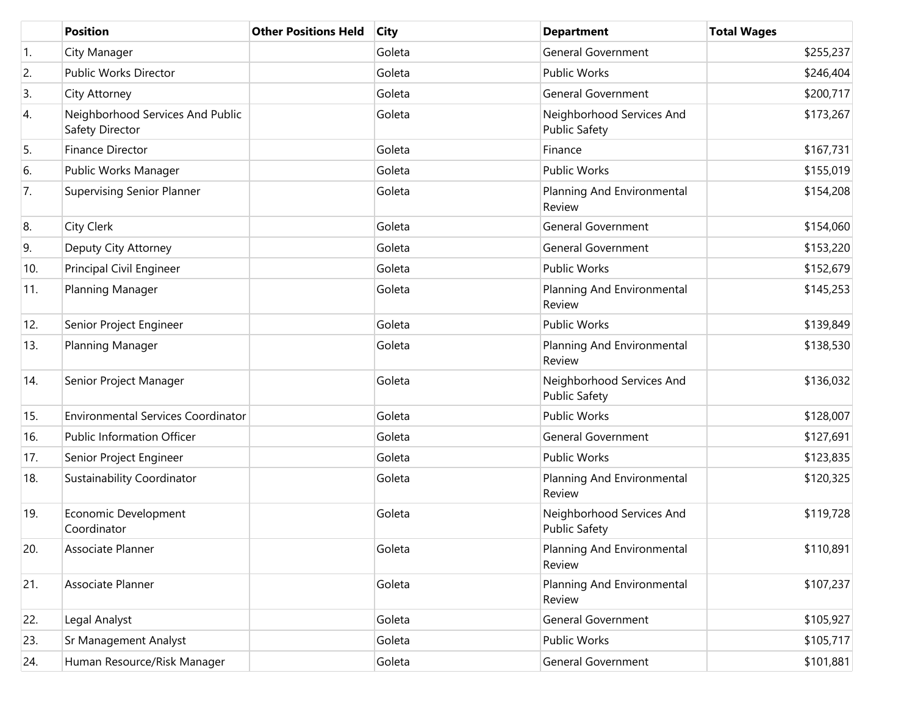|     | <b>Position</b>                                     | <b>Other Positions Held</b> | <b>City</b> | <b>Department</b>                                 | <b>Total Wages</b> |
|-----|-----------------------------------------------------|-----------------------------|-------------|---------------------------------------------------|--------------------|
| 1.  | City Manager                                        |                             | Goleta      | <b>General Government</b>                         | \$255,237          |
| 2.  | Public Works Director                               |                             | Goleta      | <b>Public Works</b>                               | \$246,404          |
| 3.  | City Attorney                                       |                             | Goleta      | <b>General Government</b>                         | \$200,717          |
| 4.  | Neighborhood Services And Public<br>Safety Director |                             | Goleta      | Neighborhood Services And<br><b>Public Safety</b> | \$173,267          |
| 5.  | Finance Director                                    |                             | Goleta      | Finance                                           | \$167,731          |
| 6.  | Public Works Manager                                |                             | Goleta      | <b>Public Works</b>                               | \$155,019          |
| 7.  | <b>Supervising Senior Planner</b>                   |                             | Goleta      | Planning And Environmental<br>Review              | \$154,208          |
| 8.  | City Clerk                                          |                             | Goleta      | <b>General Government</b>                         | \$154,060          |
| 9.  | Deputy City Attorney                                |                             | Goleta      | <b>General Government</b>                         | \$153,220          |
| 10. | Principal Civil Engineer                            |                             | Goleta      | <b>Public Works</b>                               | \$152,679          |
| 11. | Planning Manager                                    |                             | Goleta      | Planning And Environmental<br>Review              | \$145,253          |
| 12. | Senior Project Engineer                             |                             | Goleta      | <b>Public Works</b>                               | \$139,849          |
| 13. | Planning Manager                                    |                             | Goleta      | Planning And Environmental<br>Review              | \$138,530          |
| 14. | Senior Project Manager                              |                             | Goleta      | Neighborhood Services And<br><b>Public Safety</b> | \$136,032          |
| 15. | <b>Environmental Services Coordinator</b>           |                             | Goleta      | <b>Public Works</b>                               | \$128,007          |
| 16. | <b>Public Information Officer</b>                   |                             | Goleta      | <b>General Government</b>                         | \$127,691          |
| 17. | Senior Project Engineer                             |                             | Goleta      | <b>Public Works</b>                               | \$123,835          |
| 18. | Sustainability Coordinator                          |                             | Goleta      | Planning And Environmental<br>Review              | \$120,325          |
| 19. | Economic Development<br>Coordinator                 |                             | Goleta      | Neighborhood Services And<br><b>Public Safety</b> | \$119,728          |
| 20. | Associate Planner                                   |                             | Goleta      | Planning And Environmental<br>Review              | \$110,891          |
| 21. | Associate Planner                                   |                             | Goleta      | Planning And Environmental<br>Review              | \$107,237          |
| 22. | Legal Analyst                                       |                             | Goleta      | <b>General Government</b>                         | \$105,927          |
| 23. | Sr Management Analyst                               |                             | Goleta      | Public Works                                      | \$105,717          |
| 24. | Human Resource/Risk Manager                         |                             | Goleta      | <b>General Government</b>                         | \$101,881          |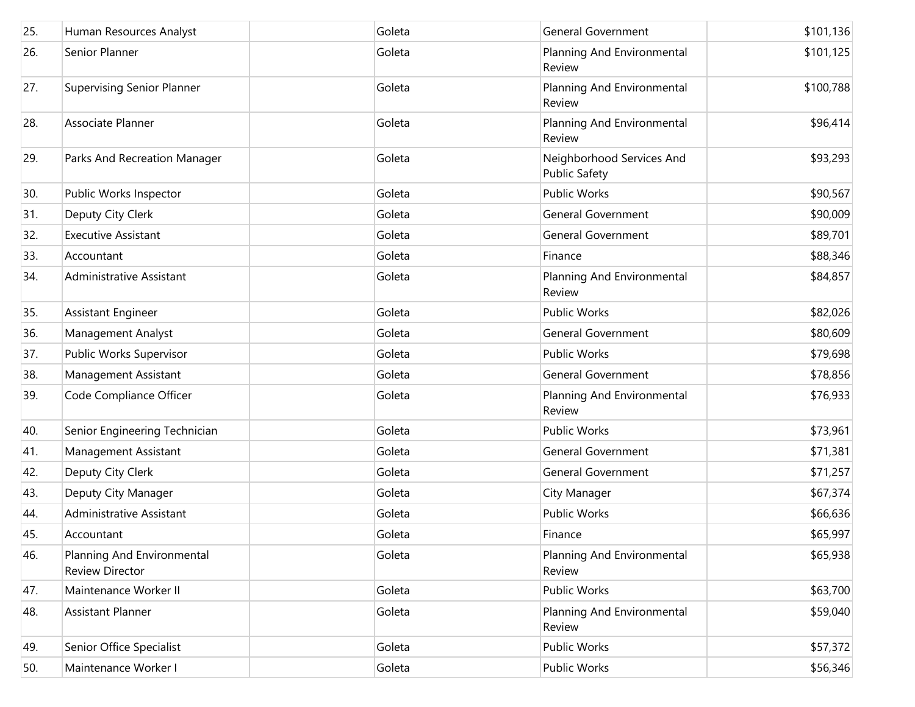| 25. | Human Resources Analyst                              | Goleta | <b>General Government</b>                         | \$101,136 |
|-----|------------------------------------------------------|--------|---------------------------------------------------|-----------|
| 26. | Senior Planner                                       | Goleta | Planning And Environmental<br>Review              | \$101,125 |
| 27. | <b>Supervising Senior Planner</b>                    | Goleta | Planning And Environmental<br>Review              | \$100,788 |
| 28. | Associate Planner                                    | Goleta | Planning And Environmental<br>Review              | \$96,414  |
| 29. | Parks And Recreation Manager                         | Goleta | Neighborhood Services And<br><b>Public Safety</b> | \$93,293  |
| 30. | Public Works Inspector                               | Goleta | Public Works                                      | \$90,567  |
| 31. | Deputy City Clerk                                    | Goleta | <b>General Government</b>                         | \$90,009  |
| 32. | <b>Executive Assistant</b>                           | Goleta | <b>General Government</b>                         | \$89,701  |
| 33. | Accountant                                           | Goleta | Finance                                           | \$88,346  |
| 34. | Administrative Assistant                             | Goleta | Planning And Environmental<br>Review              | \$84,857  |
| 35. | <b>Assistant Engineer</b>                            | Goleta | Public Works                                      | \$82,026  |
| 36. | Management Analyst                                   | Goleta | <b>General Government</b>                         | \$80,609  |
| 37. | Public Works Supervisor                              | Goleta | Public Works                                      | \$79,698  |
| 38. | Management Assistant                                 | Goleta | <b>General Government</b>                         | \$78,856  |
| 39. | Code Compliance Officer                              | Goleta | Planning And Environmental<br>Review              | \$76,933  |
| 40. | Senior Engineering Technician                        | Goleta | Public Works                                      | \$73,961  |
| 41. | Management Assistant                                 | Goleta | <b>General Government</b>                         | \$71,381  |
| 42. | Deputy City Clerk                                    | Goleta | <b>General Government</b>                         | \$71,257  |
| 43. | Deputy City Manager                                  | Goleta | City Manager                                      | \$67,374  |
| 44. | Administrative Assistant                             | Goleta | Public Works                                      | \$66,636  |
| 45. | Accountant                                           | Goleta | Finance                                           | \$65,997  |
| 46. | Planning And Environmental<br><b>Review Director</b> | Goleta | Planning And Environmental<br>Review              | \$65,938  |
| 47. | Maintenance Worker II                                | Goleta | Public Works                                      | \$63,700  |
| 48. | Assistant Planner                                    | Goleta | Planning And Environmental<br>Review              | \$59,040  |
| 49. | Senior Office Specialist                             | Goleta | Public Works                                      | \$57,372  |
| 50. | Maintenance Worker I                                 | Goleta | Public Works                                      | \$56,346  |